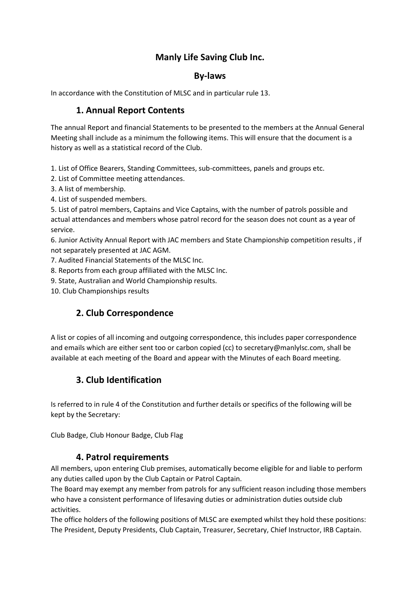# **Manly Life Saving Club Inc.**

### **By-laws**

In accordance with the Constitution of MLSC and in particular rule 13.

### **1. Annual Report Contents**

The annual Report and financial Statements to be presented to the members at the Annual General Meeting shall include as a minimum the following items. This will ensure that the document is a history as well as a statistical record of the Club.

1. List of Office Bearers, Standing Committees, sub-committees, panels and groups etc.

2. List of Committee meeting attendances.

- 3. A list of membership.
- 4. List of suspended members.

5. List of patrol members, Captains and Vice Captains, with the number of patrols possible and actual attendances and members whose patrol record for the season does not count as a year of service.

6. Junior Activity Annual Report with JAC members and State Championship competition results , if not separately presented at JAC AGM.

7. Audited Financial Statements of the MLSC Inc.

8. Reports from each group affiliated with the MLSC Inc.

9. State, Australian and World Championship results.

10. Club Championships results

## **2. Club Correspondence**

A list or copies of all incoming and outgoing correspondence, this includes paper correspondence and emails which are either sent too or carbon copied (cc) to secretary@manlylsc.com, shall be available at each meeting of the Board and appear with the Minutes of each Board meeting.

## **3. Club Identification**

Is referred to in rule 4 of the Constitution and further details or specifics of the following will be kept by the Secretary:

Club Badge, Club Honour Badge, Club Flag

### **4. Patrol requirements**

All members, upon entering Club premises, automatically become eligible for and liable to perform any duties called upon by the Club Captain or Patrol Captain.

The Board may exempt any member from patrols for any sufficient reason including those members who have a consistent performance of lifesaving duties or administration duties outside club activities.

The office holders of the following positions of MLSC are exempted whilst they hold these positions: The President, Deputy Presidents, Club Captain, Treasurer, Secretary, Chief Instructor, IRB Captain.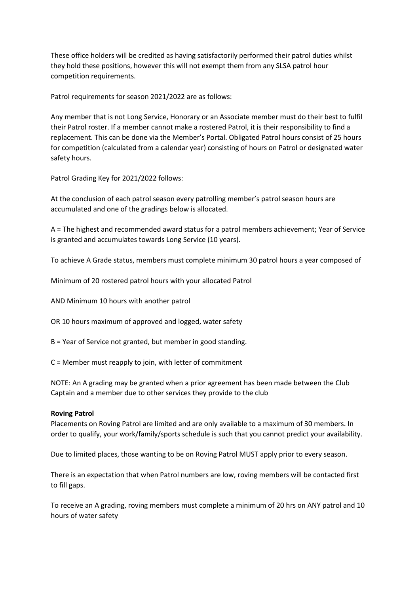These office holders will be credited as having satisfactorily performed their patrol duties whilst they hold these positions, however this will not exempt them from any SLSA patrol hour competition requirements.

Patrol requirements for season 2021/2022 are as follows:

Any member that is not Long Service, Honorary or an Associate member must do their best to fulfil their Patrol roster. If a member cannot make a rostered Patrol, it is their responsibility to find a replacement. This can be done via the Member's Portal. Obligated Patrol hours consist of 25 hours for competition (calculated from a calendar year) consisting of hours on Patrol or designated water safety hours.

Patrol Grading Key for 2021/2022 follows:

At the conclusion of each patrol season every patrolling member's patrol season hours are accumulated and one of the gradings below is allocated.

A = The highest and recommended award status for a patrol members achievement; Year of Service is granted and accumulates towards Long Service (10 years).

To achieve A Grade status, members must complete minimum 30 patrol hours a year composed of

Minimum of 20 rostered patrol hours with your allocated Patrol

AND Minimum 10 hours with another patrol

OR 10 hours maximum of approved and logged, water safety

B = Year of Service not granted, but member in good standing.

C = Member must reapply to join, with letter of commitment

NOTE: An A grading may be granted when a prior agreement has been made between the Club Captain and a member due to other services they provide to the club

### **Roving Patrol**

Placements on Roving Patrol are limited and are only available to a maximum of 30 members. In order to qualify, your work/family/sports schedule is such that you cannot predict your availability.

Due to limited places, those wanting to be on Roving Patrol MUST apply prior to every season.

There is an expectation that when Patrol numbers are low, roving members will be contacted first to fill gaps.

To receive an A grading, roving members must complete a minimum of 20 hrs on ANY patrol and 10 hours of water safety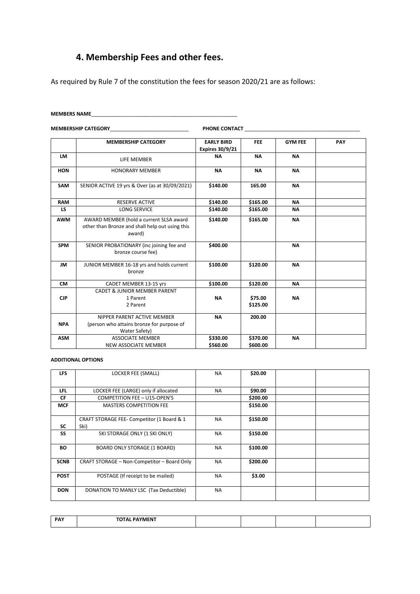# **4. Membership Fees and other fees.**

As required by Rule 7 of the constitution the fees for season 2020/21 are as follows:

### **MEMBERS NAME**\_\_\_\_\_\_\_\_\_\_\_\_\_\_\_\_\_\_\_\_\_\_\_\_\_\_\_\_\_\_\_\_\_\_\_\_\_\_\_\_\_\_\_\_\_\_\_\_\_\_\_\_

**MEMBERSHIP CATEGORY**\_\_\_\_\_\_\_\_\_\_\_\_\_\_\_\_\_\_\_\_\_\_\_\_\_\_\_\_ **PHONE CONTACT** \_\_\_\_\_\_\_\_\_\_\_\_\_\_\_\_\_\_\_\_\_\_\_\_\_\_\_\_\_\_\_\_\_\_\_\_\_\_\_\_\_

|            | <b>MEMBERSHIP CATEGORY</b>                                                                           | <b>EARLY BIRD</b>      | <b>FEE</b>           | <b>GYM FEE</b> | PAY |
|------------|------------------------------------------------------------------------------------------------------|------------------------|----------------------|----------------|-----|
|            |                                                                                                      | <b>Expires 30/9/21</b> |                      |                |     |
| <b>LM</b>  |                                                                                                      | <b>NA</b>              | <b>NA</b>            | <b>NA</b>      |     |
|            | LIFE MEMBER                                                                                          |                        |                      |                |     |
| <b>HON</b> | <b>HONORARY MEMBER</b>                                                                               | <b>NA</b>              | <b>NA</b>            | <b>NA</b>      |     |
|            |                                                                                                      |                        |                      |                |     |
| <b>SAM</b> | SENIOR ACTIVE 19 yrs & Over (as at 30/09/2021)                                                       | \$140.00               | 165.00               | <b>NA</b>      |     |
| <b>RAM</b> | <b>RESERVE ACTIVE</b>                                                                                | \$140.00               | \$165.00             | <b>NA</b>      |     |
| LS         | <b>LONG SERVICE</b>                                                                                  | \$140.00               | \$165.00             | NΑ             |     |
| <b>AWM</b> | AWARD MEMBER (hold a current SLSA award<br>other than Bronze and shall help out using this<br>award) | \$140.00               | \$165.00             | <b>NA</b>      |     |
| <b>SPM</b> | SENIOR PROBATIONARY (inc joining fee and<br>bronze course fee)                                       | \$400.00               |                      | <b>NA</b>      |     |
| <b>JM</b>  | JUNIOR MEMBER 16-18 yrs and holds current<br>bronze                                                  | \$100.00               | \$120.00             | <b>NA</b>      |     |
| <b>CM</b>  | CADET MEMBER 13-15 yrs                                                                               | \$100.00               | \$120.00             | <b>NA</b>      |     |
| <b>CJP</b> | <b>CADET &amp; JUNIOR MEMBER PARENT</b><br>1 Parent<br>2 Parent                                      | <b>NA</b>              | \$75.00<br>\$125.00  | <b>NA</b>      |     |
| <b>NPA</b> | NIPPER PARENT ACTIVE MEMBER<br>(person who attains bronze for purpose of<br>Water Safety)            | <b>NA</b>              | 200.00               |                |     |
| <b>ASM</b> | <b>ASSOCIATE MEMBER</b><br><b>NEW ASSOCIATE MEMBER</b>                                               | \$330.00<br>\$560.00   | \$370.00<br>\$600.00 | <b>NA</b>      |     |

#### **ADDITIONAL OPTIONS**

| <b>LFS</b>  | LOCKER FEE (SMALL)                                 | <b>NA</b> | \$20.00  |  |
|-------------|----------------------------------------------------|-----------|----------|--|
|             |                                                    |           |          |  |
| <b>LFL</b>  | LOCKER FEE (LARGE) only if allocated               | <b>NA</b> | \$90.00  |  |
| <b>CF</b>   | <b>COMPETITION FEE - U15-OPEN'S</b>                |           | \$200.00 |  |
| <b>MCF</b>  | <b>MASTERS COMPETITION FEE</b>                     |           | \$150.00 |  |
| <b>SC</b>   | CRAFT STORAGE FEE- Competitor (1 Board & 1<br>Ski) | <b>NA</b> | \$150.00 |  |
| SS          | SKI STORAGE ONLY (1 SKI ONLY)                      | <b>NA</b> | \$150.00 |  |
| BO          | BOARD ONLY STORAGE (1 BOARD)                       | <b>NA</b> | \$100.00 |  |
| <b>SCNB</b> | CRAFT STORAGE - Non-Competitor - Board Only        | <b>NA</b> | \$200.00 |  |
| <b>POST</b> | POSTAGE (If receipt to be mailed)                  | <b>NA</b> | \$3.00   |  |
| <b>DON</b>  | DONATION TO MANLY LSC (Tax Deductible)             | <b>NA</b> |          |  |

| <b>DAV</b><br><u>.</u> | TOTAL DAVASCUT<br>۰N |  |  |  |  |
|------------------------|----------------------|--|--|--|--|
|------------------------|----------------------|--|--|--|--|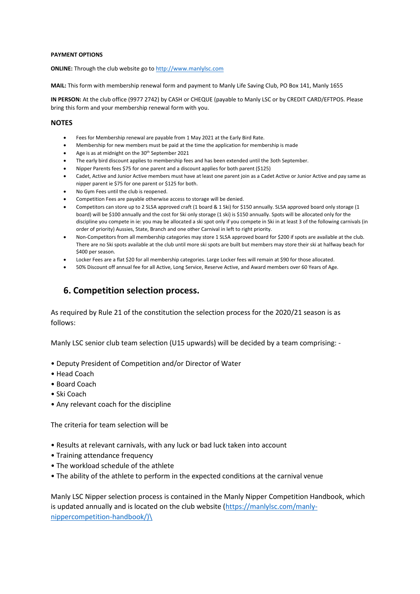#### **PAYMENT OPTIONS**

**ONLINE:** Through the club website go to [http://www.manlylsc.com](http://www.manlylsc.com/)

**MAIL:** This form with membership renewal form and payment to Manly Life Saving Club, PO Box 141, Manly 1655

**IN PERSON:** At the club office (9977 2742) by CASH or CHEQUE (payable to Manly LSC or by CREDIT CARD/EFTPOS. Please bring this form and your membership renewal form with you.

#### **NOTES**

- Fees for Membership renewal are payable from 1 May 2021 at the Early Bird Rate.
- Membership for new members must be paid at the time the application for membership is made
- Age is as at midnight on the 30<sup>th</sup> September 2021
- The early bird discount applies to membership fees and has been extended until the 3oth September.
- Nipper Parents fees \$75 for one parent and a discount applies for both parent (\$125)
- Cadet, Active and Junior Active members must have at least one parent join as a Cadet Active or Junior Active and pay same as nipper parent ie \$75 for one parent or \$125 for both.
- No Gym Fees until the club is reopened.
- Competition Fees are payable otherwise access to storage will be denied.
- Competitors can store up to 2 SLSA approved craft (1 board & 1 Ski) for \$150 annually. SLSA approved board only storage (1 board) will be \$100 annually and the cost for Ski only storage (1 ski) is \$150 annually. Spots will be allocated only for the discipline you compete in ie: you may be allocated a ski spot only if you compete in Ski in at least 3 of the following carnivals (in order of priority) Aussies, State, Branch and one other Carnival in left to right priority.
- Non-Competitors from all membership categories may store 1 SLSA approved board for \$200 if spots are available at the club. There are no Ski spots available at the club until more ski spots are built but members may store their ski at halfway beach for \$400 per season.
- Locker Fees are a flat \$20 for all membership categories. Large Locker fees will remain at \$90 for those allocated.
- 50% Discount off annual fee for all Active, Long Service, Reserve Active, and Award members over 60 Years of Age.

### **6. Competition selection process.**

As required by Rule 21 of the constitution the selection process for the 2020/21 season is as follows:

Manly LSC senior club team selection (U15 upwards) will be decided by a team comprising: -

- Deputy President of Competition and/or Director of Water
- Head Coach
- Board Coach
- Ski Coach
- Any relevant coach for the discipline

The criteria for team selection will be

- Results at relevant carnivals, with any luck or bad luck taken into account
- Training attendance frequency
- The workload schedule of the athlete
- The ability of the athlete to perform in the expected conditions at the carnival venue

Manly LSC Nipper selection process is contained in the Manly Nipper Competition Handbook, which is updated annually and is located on the club website [\(https://manlylsc.com/manly](https://manlylsc.com/manly-nippercompetition-handbook/)/)[nippercompetition-handbook/\)\](https://manlylsc.com/manly-nippercompetition-handbook/)/)